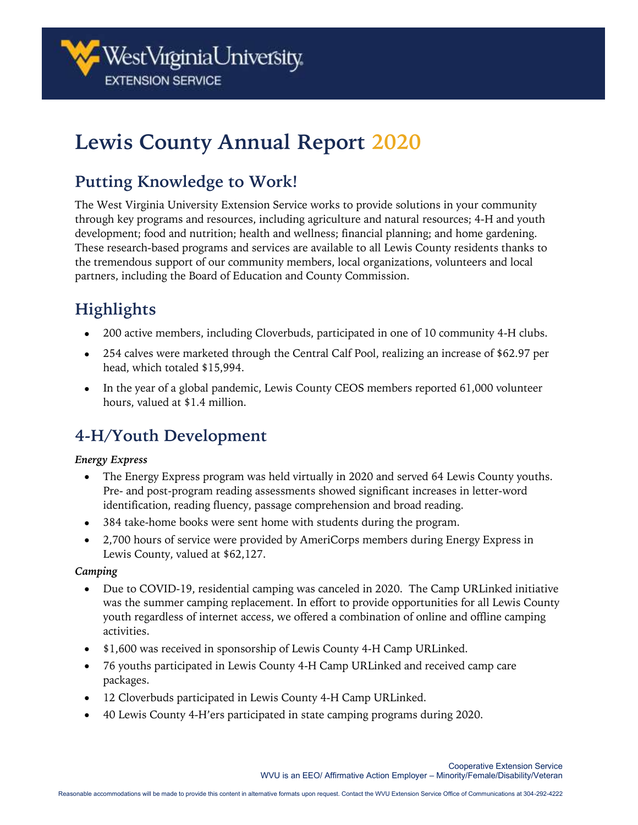

# **Lewis County Annual Report 2020**

## **Putting Knowledge to Work!**

The West Virginia University Extension Service works to provide solutions in your community through key programs and resources, including agriculture and natural resources; 4-H and youth development; food and nutrition; health and wellness; financial planning; and home gardening. These research-based programs and services are available to all Lewis County residents thanks to the tremendous support of our community members, local organizations, volunteers and local partners, including the Board of Education and County Commission.

# **Highlights**

- 200 active members, including Cloverbuds, participated in one of 10 community 4-H clubs.
- 254 calves were marketed through the Central Calf Pool, realizing an increase of \$62.97 per head, which totaled \$15,994.
- In the year of a global pandemic, Lewis County CEOS members reported 61,000 volunteer hours, valued at \$1.4 million.

# **4-H/Youth Development**

#### *Energy Express*

- The Energy Express program was held virtually in 2020 and served 64 Lewis County youths. Pre- and post-program reading assessments showed significant increases in letter-word identification, reading fluency, passage comprehension and broad reading.
- 384 take-home books were sent home with students during the program.
- 2,700 hours of service were provided by AmeriCorps members during Energy Express in Lewis County, valued at \$62,127.

#### *Camping*

- Due to COVID-19, residential camping was canceled in 2020. The Camp URLinked initiative was the summer camping replacement. In effort to provide opportunities for all Lewis County youth regardless of internet access, we offered a combination of online and offline camping activities.
- \$1,600 was received in sponsorship of Lewis County 4-H Camp URLinked.
- 76 youths participated in Lewis County 4-H Camp URLinked and received camp care packages.
- 12 Cloverbuds participated in Lewis County 4-H Camp URLinked.
- 40 Lewis County 4-H'ers participated in state camping programs during 2020.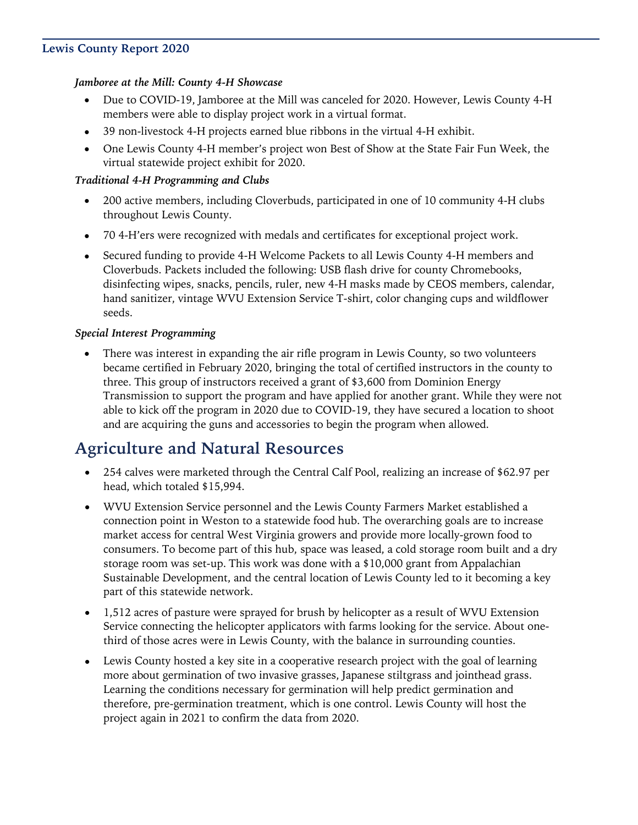#### **Lewis County Report 2020**

#### *Jamboree at the Mill: County 4-H Showcase*

- Due to COVID-19, Jamboree at the Mill was canceled for 2020. However, Lewis County 4-H members were able to display project work in a virtual format.
- 39 non-livestock 4-H projects earned blue ribbons in the virtual 4-H exhibit.
- One Lewis County 4-H member's project won Best of Show at the State Fair Fun Week, the virtual statewide project exhibit for 2020.

#### *Traditional 4-H Programming and Clubs*

- 200 active members, including Cloverbuds, participated in one of 10 community 4-H clubs throughout Lewis County.
- 70 4-H'ers were recognized with medals and certificates for exceptional project work.
- Secured funding to provide 4-H Welcome Packets to all Lewis County 4-H members and Cloverbuds. Packets included the following: USB flash drive for county Chromebooks, disinfecting wipes, snacks, pencils, ruler, new 4-H masks made by CEOS members, calendar, hand sanitizer, vintage WVU Extension Service T-shirt, color changing cups and wildflower seeds.

#### *Special Interest Programming*

• There was interest in expanding the air rifle program in Lewis County, so two volunteers became certified in February 2020, bringing the total of certified instructors in the county to three. This group of instructors received a grant of \$3,600 from Dominion Energy Transmission to support the program and have applied for another grant. While they were not able to kick off the program in 2020 due to COVID-19, they have secured a location to shoot and are acquiring the guns and accessories to begin the program when allowed.

### **Agriculture and Natural Resources**

- 254 calves were marketed through the Central Calf Pool, realizing an increase of \$62.97 per head, which totaled \$15,994.
- WVU Extension Service personnel and the Lewis County Farmers Market established a connection point in Weston to a statewide food hub. The overarching goals are to increase market access for central West Virginia growers and provide more locally-grown food to consumers. To become part of this hub, space was leased, a cold storage room built and a dry storage room was set-up. This work was done with a \$10,000 grant from Appalachian Sustainable Development, and the central location of Lewis County led to it becoming a key part of this statewide network.
- 1,512 acres of pasture were sprayed for brush by helicopter as a result of WVU Extension Service connecting the helicopter applicators with farms looking for the service. About onethird of those acres were in Lewis County, with the balance in surrounding counties.
- Lewis County hosted a key site in a cooperative research project with the goal of learning more about germination of two invasive grasses, Japanese stiltgrass and jointhead grass. Learning the conditions necessary for germination will help predict germination and therefore, pre-germination treatment, which is one control. Lewis County will host the project again in 2021 to confirm the data from 2020.